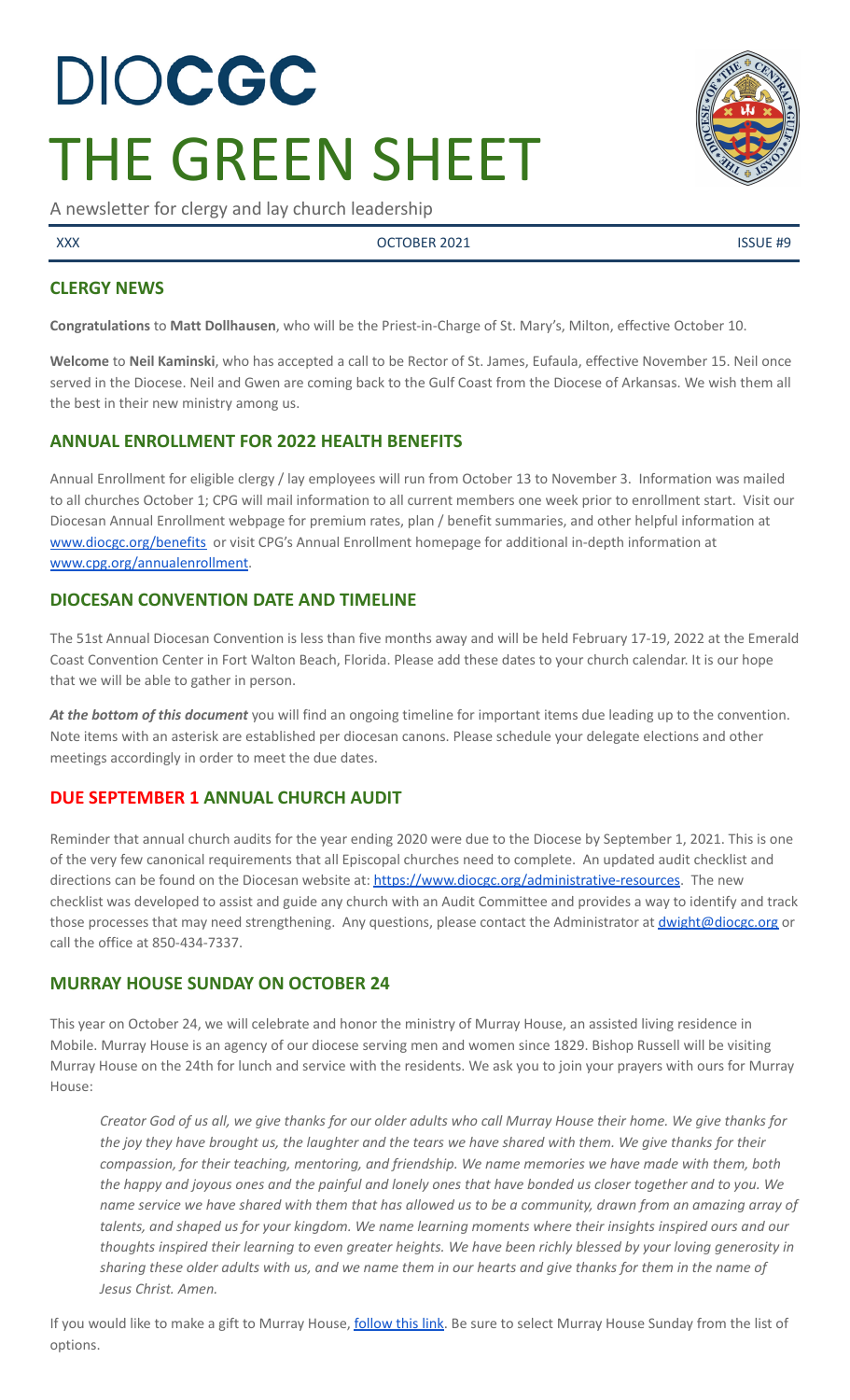# DIOCGC THE GREEN SHEET

A newsletter for clergy and lay church leadership

XXX CONTRACTER 2021 CONTRACTER 2021

## **CLERGY NEWS**

**Congratulations** to **Matt Dollhausen**, who will be the Priest-in-Charge of St. Mary's, Milton, effective October 10.

**Welcome** to **Neil Kaminski**, who has accepted a call to be Rector of St. James, Eufaula, effective November 15. Neil once served in the Diocese. Neil and Gwen are coming back to the Gulf Coast from the Diocese of Arkansas. We wish them all the best in their new ministry among us.

## **ANNUAL ENROLLMENT FOR 2022 HEALTH BENEFITS**

Annual Enrollment for eligible clergy / lay employees will run from October 13 to November 3. Information was mailed to all churches October 1; CPG will mail information to all current members one week prior to enrollment start. Visit our Diocesan Annual Enrollment webpage for premium rates, plan / benefit summaries, and other helpful information at [www.diocgc.org/benefits](http://www.diocgc.org/benefits) or visit CPG's Annual Enrollment homepage for additional in-depth information at [www.cpg.org/annualenrollment.](http://www.cpg.org/annualenrollment)

## **DIOCESAN CONVENTION DATE AND TIMELINE**

The 51st Annual Diocesan Convention is less than five months away and will be held February 17-19, 2022 at the Emerald Coast Convention Center in Fort Walton Beach, Florida. Please add these dates to your church calendar. It is our hope that we will be able to gather in person.

*At the bottom of this document* you will find an ongoing timeline for important items due leading up to the convention. Note items with an asterisk are established per diocesan canons. Please schedule your delegate elections and other meetings accordingly in order to meet the due dates.

## **DUE SEPTEMBER 1 ANNUAL CHURCH AUDIT**

Reminder that annual church audits for the year ending 2020 were due to the Diocese by September 1, 2021. This is one of the very few canonical requirements that all Episcopal churches need to complete. An updated audit checklist and directions can be found on the Diocesan website at: [https://www.diocgc.org/administrative-resources.](https://www.diocgc.org/administrative-resources) The new checklist was developed to assist and guide any church with an Audit Committee and provides a way to identify and track those processes that may need strengthening. Any questions, please contact the Administrator at *[dwight@diocgc.org](mailto:dwight@diocgc.org)* or call the office at 850-434-7337.

## **MURRAY HOUSE SUNDAY ON OCTOBER 24**

This year on October 24, we will celebrate and honor the ministry of Murray House, an assisted living residence in Mobile. Murray House is an agency of our diocese serving men and women since 1829. Bishop Russell will be visiting Murray House on the 24th for lunch and service with the residents. We ask you to join your prayers with ours for Murray House:

Creator God of us all, we give thanks for our older adults who call Murray House their home. We give thanks for the joy they have brought us, the laughter and the tears we have shared with them. We give thanks for their *compassion, for their teaching, mentoring, and friendship. We name memories we have made with them, both* the happy and joyous ones and the painful and lonely ones that have bonded us closer together and to you. We name service we have shared with them that has allowed us to be a community, drawn from an amazing array of talents, and shaped us for your kingdom. We name learning moments where their insights inspired ours and our thoughts inspired their learning to even greater heights. We have been richly blessed by your loving generosity in sharing these older adults with us, and we name them in our hearts and give thanks for them in the name of *Jesus Christ. Amen.*

If you would like to make a gift to Murray House, [follow](https://tithe.ly/give_new/www/#/tithely/give-one-time/1345645) this link. Be sure to select Murray House Sunday from the list of options.

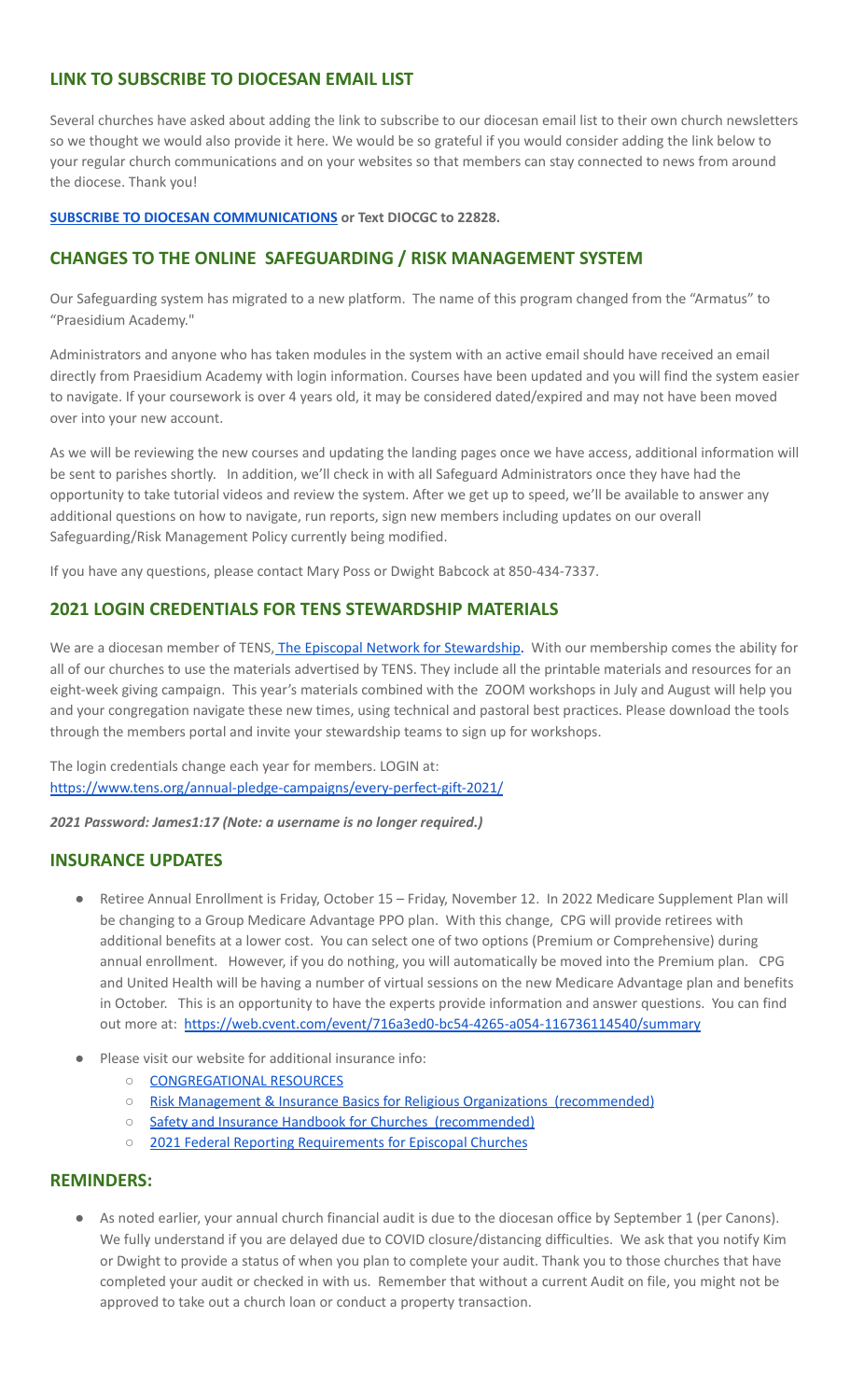## **LINK TO SUBSCRIBE TO DIOCESAN EMAIL LIST**

Several churches have asked about adding the link to subscribe to our diocesan email list to their own church newsletters so we thought we would also provide it here. We would be so grateful if you would consider adding the link below to your regular church communications and on your websites so that members can stay connected to news from around the diocese. Thank you!

#### **SUBSCRIBE TO DIOCESAN [COMMUNICATIONS](https://visitor.r20.constantcontact.com/manage/optin?v=001ytzJgXCdPi7CMeRPYjkgWfph8ra8dQJmJ_jgoEJDuFPyjC3HarXiwlhH4JN80K9kNItCddcGgXt-VrglBC4Vvq3YhpG1ym5vnWRlozzk8WJwXJycFplGhx-zzZ96rxkiXY6YLv6vWkWPagBVarHUDKt3SmSUagqj) or Text DIOCGC to 22828.**

## **CHANGES TO THE ONLINE SAFEGUARDING / RISK MANAGEMENT SYSTEM**

Our Safeguarding system has migrated to a new platform. The name of this program changed from the "Armatus" to "Praesidium Academy."

Administrators and anyone who has taken modules in the system with an active email should have received an email directly from Praesidium Academy with login information. Courses have been updated and you will find the system easier to navigate. If your coursework is over 4 years old, it may be considered dated/expired and may not have been moved over into your new account.

As we will be reviewing the new courses and updating the landing pages once we have access, additional information will be sent to parishes shortly. In addition, we'll check in with all Safeguard Administrators once they have had the opportunity to take tutorial videos and review the system. After we get up to speed, we'll be available to answer any additional questions on how to navigate, run reports, sign new members including updates on our overall Safeguarding/Risk Management Policy currently being modified.

If you have any questions, please contact Mary Poss or Dwight Babcock at 850-434-7337.

#### **2021 LOGIN CREDENTIALS FOR TENS STEWARDSHIP MATERIALS**

We are a diocesan member of TENS, The Episcopal Network for [Stewardship.](https://www.tens.org/) With our membership comes the ability for all of our churches to use the materials advertised by TENS. They include all the printable materials and resources for an eight-week giving campaign. This year's materials combined with the ZOOM workshops in July and August will help you and your congregation navigate these new times, using technical and pastoral best practices. Please download the tools through the members portal and invite your stewardship teams to sign up for workshops.

The login credentials change each year for members. LOGIN at: <https://www.tens.org/annual-pledge-campaigns/every-perfect-gift-2021/>

*2021 Password: James1:17 (Note: a username is no longer required.)*

#### **INSURANCE UPDATES**

- Retiree Annual Enrollment is Friday, October 15 Friday, November 12. In 2022 Medicare Supplement Plan will be changing to a Group Medicare Advantage PPO plan. With this change, CPG will provide retirees with additional benefits at a lower cost. You can select one of two options (Premium or Comprehensive) during annual enrollment. However, if you do nothing, you will automatically be moved into the Premium plan. CPG and United Health will be having a number of virtual sessions on the new Medicare Advantage plan and benefits in October. This is an opportunity to have the experts provide information and answer questions. You can find out more at: <https://web.cvent.com/event/716a3ed0-bc54-4265-a054-116736114540/summary>
- Please visit our website for additional insurance info:
	- [CONGREGATIONAL](https://www.diocgc.org/congregational-resources) RESOURCES
	- Risk Management & Insurance Basics for Religious Organizations [\(recommended\)](https://2f23db9c-81c0-437f-88c1-0d3b99fdb03d.filesusr.com/ugd/ca270f_0fc945a39bad470191c4075c97602c08.pdf)
	- Safety and Insurance Handbook for Churches [\(recommended\)](https://2f23db9c-81c0-437f-88c1-0d3b99fdb03d.filesusr.com/ugd/4525a9_6b89020a60b040f49e2f7feb44b56873.pdf)
	- 2021 Federal Reporting [Requirements](https://www.cpg.org/globalassets/documents/publications/tax-2021-federal-reporting-requirements-for-episcopal-churches.pdf) for Episcopal Churches

#### **REMINDERS:**

As noted earlier, your annual church financial audit is due to the diocesan office by September 1 (per Canons). We fully understand if you are delayed due to COVID closure/distancing difficulties. We ask that you notify Kim or Dwight to provide a status of when you plan to complete your audit. Thank you to those churches that have completed your audit or checked in with us. Remember that without a current Audit on file, you might not be approved to take out a church loan or conduct a property transaction.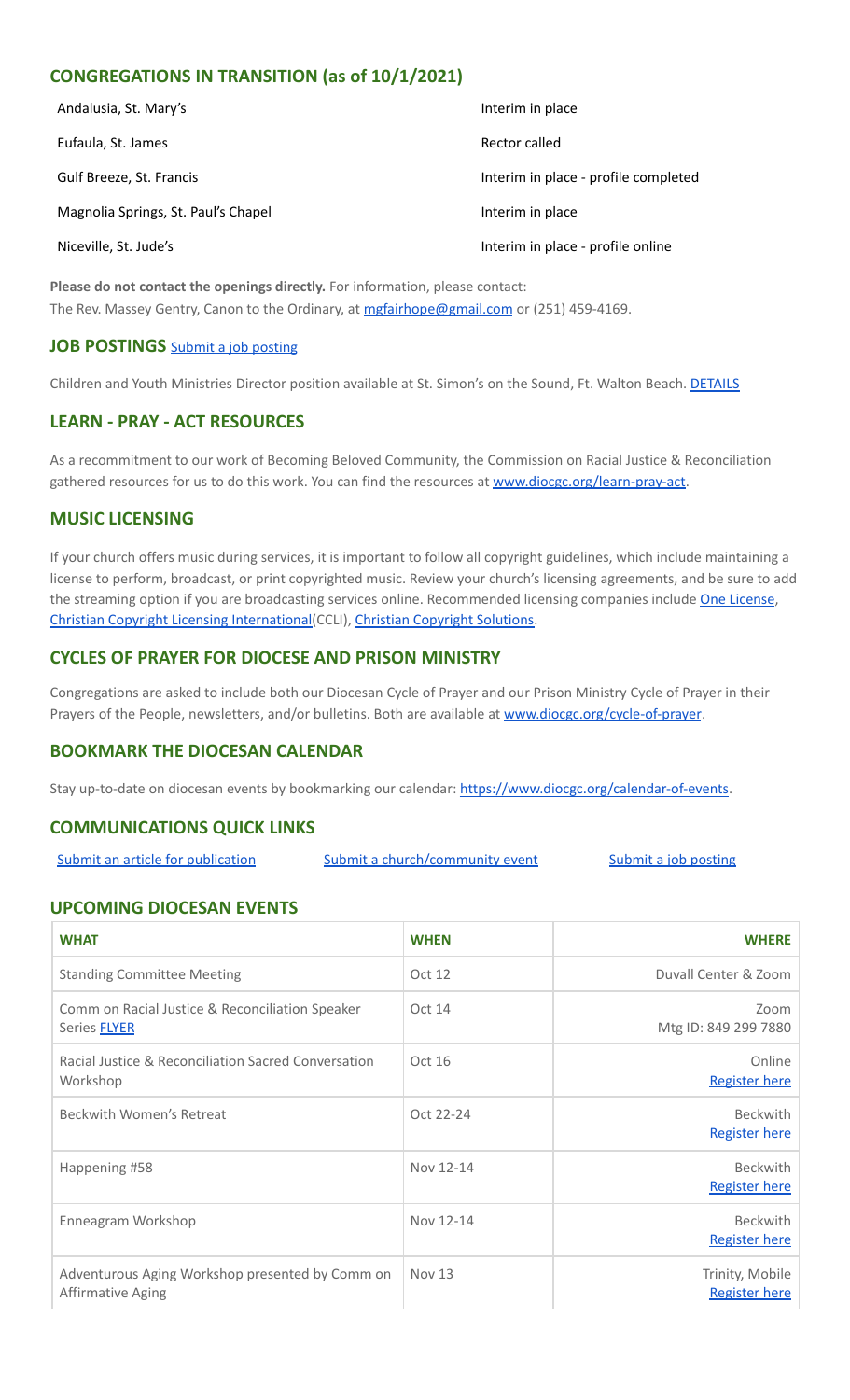## **CONGREGATIONS IN TRANSITION (as of 10/1/2021)**

| Andalusia, St. Mary's               | Interim in place                     |
|-------------------------------------|--------------------------------------|
| Eufaula, St. James                  | Rector called                        |
| Gulf Breeze, St. Francis            | Interim in place - profile completed |
| Magnolia Springs, St. Paul's Chapel | Interim in place                     |
| Niceville, St. Jude's               | Interim in place - profile online    |

**Please do not contact the openings directly.** For information, please contact: The Rev. Massey Gentry, Canon to the Ordinary, at [mgfairhope@gmail.com](mailto:mgfairhope@gmail.com) or (251) 459-4169.

#### **JOB POSTINGS** Submit a job [posting](https://www.emailmeform.com/builder/form/0cZqC653GdH24p01aWQDfUh)

Children and Youth Ministries Director position available at St. Simon's on the Sound, Ft. Walton Beach. [DETAILS](https://files.constantcontact.com/77805af7001/88908c0e-ed5d-4e30-9f03-8a2d471f0910.pdf)

## **LEARN - PRAY - ACT RESOURCES**

As a recommitment to our work of Becoming Beloved Community, the Commission on Racial Justice & Reconciliation gathered resources for us to do this work. You can find the resources at [www.diocgc.org/learn-pray-act.](http://www.diocgcorg/learn-pray-act)

#### **MUSIC LICENSING**

If your church offers music during services, it is important to follow all copyright guidelines, which include maintaining a license to perform, broadcast, or print copyrighted music. Review your church's licensing agreements, and be sure to add the streaming option if you are broadcasting services online. Recommended licensing companies include One [License](https://onelicense.net/), Christian Copyright Licensing [International\(](https://us.ccli.com/)CCLI), Christian [Copyright](https://christiancopyrightsolutions.com/) Solutions.

## **CYCLES OF PRAYER FOR DIOCESE AND PRISON MINISTRY**

Congregations are asked to include both our Diocesan Cycle of Prayer and our Prison Ministry Cycle of Prayer in their Prayers of the People, newsletters, and/or bulletins. Both are available at [www.diocgc.org/cycle-of-prayer](http://www.diocgc.org/cycle-of-prayer).

#### **BOOKMARK THE DIOCESAN CALENDAR**

Stay up-to-date on diocesan events by bookmarking our calendar: [https://www.diocgc.org/calendar-of-events.](https://www.diocgc.org/calendar-of-events)

## **COMMUNICATIONS QUICK LINKS**

Submit an article for [publication](http://www.emailmeform.com/builder/form/XqOP984Ae60c8m6ynr) Submit a [church/community](http://www.emailmeform.com/builder/form/eOM4Bb6VTb78y20Wrapf8) event Submit a job [posting](https://www.emailmeform.com/builder/form/0cZqC653GdH24p01aWQDfUh)

#### **UPCOMING DIOCESAN EVENTS**

| <b>WHAT</b>                                                            | <b>WHEN</b> | <b>WHERE</b>                            |
|------------------------------------------------------------------------|-------------|-----------------------------------------|
| <b>Standing Committee Meeting</b>                                      | Oct 12      | Duvall Center & Zoom                    |
| Comm on Racial Justice & Reconciliation Speaker<br>Series <b>FLYER</b> | Oct 14      | Zoom<br>Mtg ID: 849 299 7880            |
| Racial Justice & Reconciliation Sacred Conversation<br>Workshop        | Oct 16      | Online<br><b>Register here</b>          |
| Beckwith Women's Retreat                                               | Oct 22-24   | <b>Beckwith</b><br><b>Register here</b> |
| Happening #58                                                          | Nov 12-14   | <b>Beckwith</b><br><b>Register here</b> |
| Enneagram Workshop                                                     | Nov 12-14   | <b>Beckwith</b><br><b>Register here</b> |
| Adventurous Aging Workshop presented by Comm on<br>Affirmative Aging   | Nov 13      | Trinity, Mobile<br><b>Register here</b> |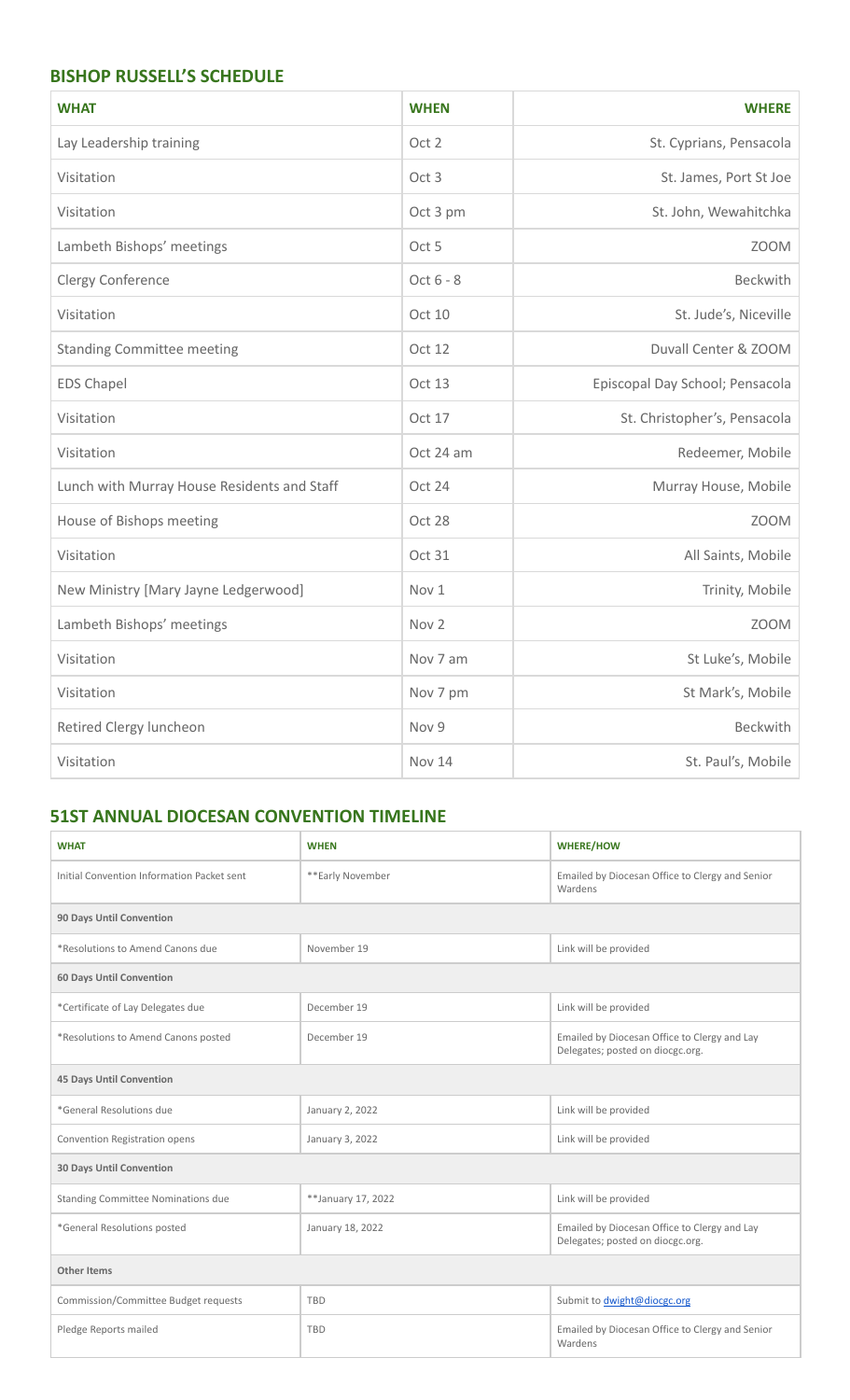## **BISHOP RUSSELL'S SCHEDULE**

| <b>WHAT</b>                                 | <b>WHEN</b>      | <b>WHERE</b>                    |  |
|---------------------------------------------|------------------|---------------------------------|--|
| Lay Leadership training                     | Oct 2            | St. Cyprians, Pensacola         |  |
| Visitation                                  | Oct <sub>3</sub> | St. James, Port St Joe          |  |
| Visitation                                  | Oct 3 pm         | St. John, Wewahitchka           |  |
| Lambeth Bishops' meetings                   | Oct 5            | <b>ZOOM</b>                     |  |
| Clergy Conference                           | Oct 6 - 8        | <b>Beckwith</b>                 |  |
| Visitation                                  | Oct 10           | St. Jude's, Niceville           |  |
| <b>Standing Committee meeting</b>           | Oct 12           | Duvall Center & ZOOM            |  |
| <b>EDS Chapel</b>                           | Oct 13           | Episcopal Day School; Pensacola |  |
| Visitation                                  | Oct 17           | St. Christopher's, Pensacola    |  |
| Visitation                                  | Oct 24 am        | Redeemer, Mobile                |  |
| Lunch with Murray House Residents and Staff | Oct 24           | Murray House, Mobile            |  |
| House of Bishops meeting                    | Oct 28           | <b>ZOOM</b>                     |  |
| Visitation                                  | Oct 31           | All Saints, Mobile              |  |
| New Ministry [Mary Jayne Ledgerwood]        | Nov 1            | Trinity, Mobile                 |  |
| Lambeth Bishops' meetings                   | Nov <sub>2</sub> | <b>ZOOM</b>                     |  |
| Visitation                                  | Nov 7 am         | St Luke's, Mobile               |  |
| Visitation                                  | Nov 7 pm         | St Mark's, Mobile               |  |
| Retired Clergy luncheon                     | Nov 9            | Beckwith                        |  |
| Visitation                                  | <b>Nov 14</b>    | St. Paul's, Mobile              |  |

## **51ST ANNUAL DIOCESAN CONVENTION TIMELINE**

| <b>WHAT</b>                                | <b>WHEN</b>        | <b>WHERE/HOW</b>                                                                 |  |
|--------------------------------------------|--------------------|----------------------------------------------------------------------------------|--|
| Initial Convention Information Packet sent | **Early November   | Emailed by Diocesan Office to Clergy and Senior<br>Wardens                       |  |
| 90 Days Until Convention                   |                    |                                                                                  |  |
| *Resolutions to Amend Canons due           | November 19        | Link will be provided                                                            |  |
| <b>60 Days Until Convention</b>            |                    |                                                                                  |  |
| *Certificate of Lay Delegates due          | December 19        | Link will be provided                                                            |  |
| *Resolutions to Amend Canons posted        | December 19        | Emailed by Diocesan Office to Clergy and Lay<br>Delegates; posted on diocgc.org. |  |
| <b>45 Days Until Convention</b>            |                    |                                                                                  |  |
| *General Resolutions due                   | January 2, 2022    | Link will be provided                                                            |  |
| Convention Registration opens              | January 3, 2022    | Link will be provided                                                            |  |
| <b>30 Days Until Convention</b>            |                    |                                                                                  |  |
| <b>Standing Committee Nominations due</b>  | **January 17, 2022 | Link will be provided                                                            |  |
| *General Resolutions posted                | January 18, 2022   | Emailed by Diocesan Office to Clergy and Lay<br>Delegates; posted on diocgc.org. |  |
| <b>Other Items</b>                         |                    |                                                                                  |  |
| Commission/Committee Budget requests       | <b>TBD</b>         | Submit to dwight@diocgc.org                                                      |  |
| Pledge Reports mailed                      | <b>TBD</b>         | Emailed by Diocesan Office to Clergy and Senior<br>Wardens                       |  |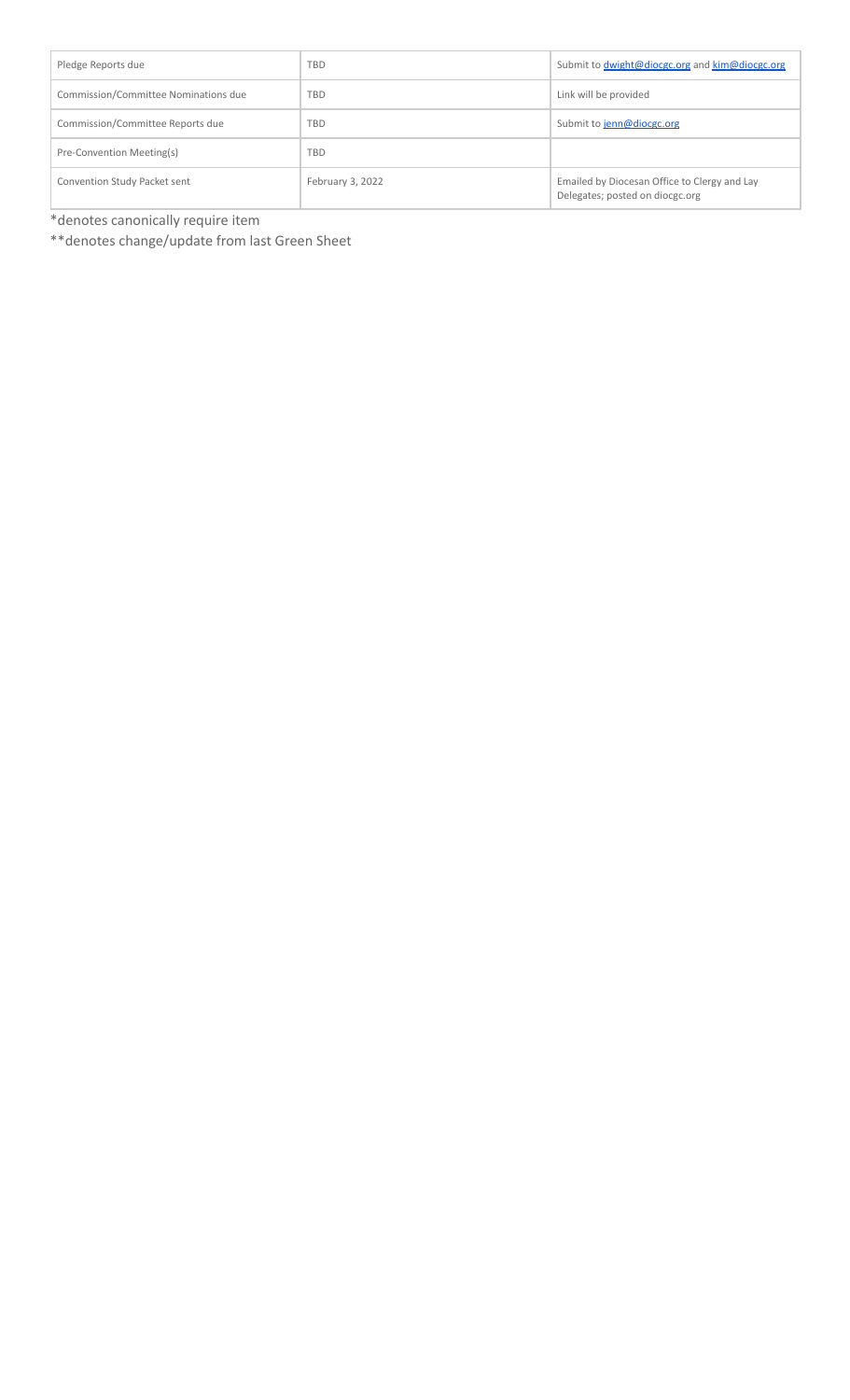| Pledge Reports due                   | <b>TBD</b>       | Submit to dwight@diocgc.org and kim@diocgc.org                                  |
|--------------------------------------|------------------|---------------------------------------------------------------------------------|
| Commission/Committee Nominations due | <b>TBD</b>       | Link will be provided                                                           |
| Commission/Committee Reports due     | <b>TBD</b>       | Submit to jenn@diocgc.org                                                       |
| Pre-Convention Meeting(s)            | <b>TBD</b>       |                                                                                 |
| Convention Study Packet sent         | February 3, 2022 | Emailed by Diocesan Office to Clergy and Lay<br>Delegates; posted on diocgc.org |

\*denotes canonically require item

\*\*denotes change/update from last Green Sheet